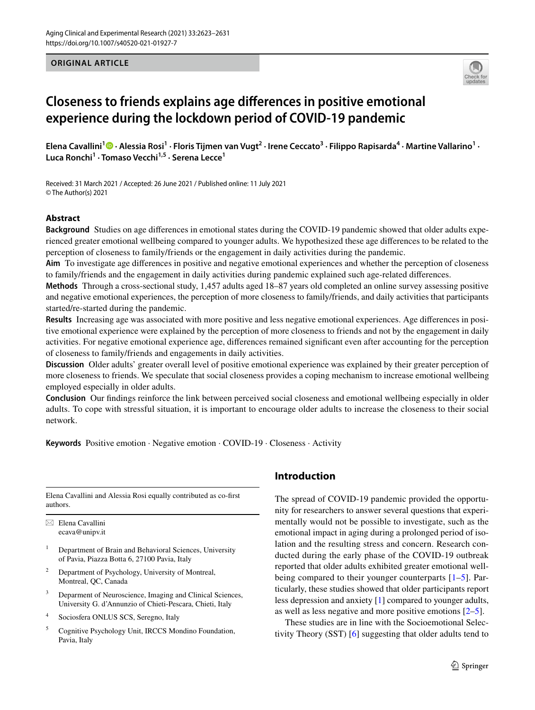## **ORIGINAL ARTICLE**



# **Closeness to friends explains age diferences in positive emotional experience during the lockdown period of COVID‑19 pandemic**

ElenaCavallini<sup>1</sup> <sup>0</sup> · Alessia Rosi<sup>1</sup> · Floris Tijmen van Vugt<sup>2</sup> · Irene Ceccato<sup>3</sup> · Filippo Rapisarda<sup>4</sup> · Martine Vallarino<sup>1</sup> · **Luca Ronchi<sup>1</sup> · Tomaso Vecchi1,5 · Serena Lecce1**

Received: 31 March 2021 / Accepted: 26 June 2021 / Published online: 11 July 2021 © The Author(s) 2021

## **Abstract**

**Background** Studies on age diferences in emotional states during the COVID-19 pandemic showed that older adults experienced greater emotional wellbeing compared to younger adults. We hypothesized these age diferences to be related to the perception of closeness to family/friends or the engagement in daily activities during the pandemic.

**Aim** To investigate age diferences in positive and negative emotional experiences and whether the perception of closeness to family/friends and the engagement in daily activities during pandemic explained such age-related diferences.

**Methods** Through a cross-sectional study, 1,457 adults aged 18–87 years old completed an online survey assessing positive and negative emotional experiences, the perception of more closeness to family/friends, and daily activities that participants started/re-started during the pandemic.

**Results** Increasing age was associated with more positive and less negative emotional experiences. Age diferences in positive emotional experience were explained by the perception of more closeness to friends and not by the engagement in daily activities. For negative emotional experience age, diferences remained signifcant even after accounting for the perception of closeness to family/friends and engagements in daily activities.

**Discussion** Older adults' greater overall level of positive emotional experience was explained by their greater perception of more closeness to friends. We speculate that social closeness provides a coping mechanism to increase emotional wellbeing employed especially in older adults.

**Conclusion** Our fndings reinforce the link between perceived social closeness and emotional wellbeing especially in older adults. To cope with stressful situation, it is important to encourage older adults to increase the closeness to their social network.

**Keywords** Positive emotion · Negative emotion · COVID-19 · Closeness · Activity

Elena Cavallini and Alessia Rosi equally contributed as co-frst authors.

 $\boxtimes$  Elena Cavallini ecava@unipv.it

- <sup>1</sup> Department of Brain and Behavioral Sciences, University of Pavia, Piazza Botta 6, 27100 Pavia, Italy
- Department of Psychology, University of Montreal, Montreal, QC, Canada
- <sup>3</sup> Deparment of Neuroscience, Imaging and Clinical Sciences, University G. d'Annunzio of Chieti-Pescara, Chieti, Italy
- <sup>4</sup> Sociosfera ONLUS SCS, Seregno, Italy
- <sup>5</sup> Cognitive Psychology Unit, IRCCS Mondino Foundation, Pavia, Italy

# **Introduction**

The spread of COVID-19 pandemic provided the opportunity for researchers to answer several questions that experimentally would not be possible to investigate, such as the emotional impact in aging during a prolonged period of isolation and the resulting stress and concern. Research conducted during the early phase of the COVID-19 outbreak reported that older adults exhibited greater emotional wellbeing compared to their younger counterparts [[1](#page-7-0)[–5](#page-7-1)]. Particularly, these studies showed that older participants report less depression and anxiety [\[1](#page-7-0)] compared to younger adults, as well as less negative and more positive emotions [[2–](#page-7-2)[5\]](#page-7-1).

These studies are in line with the Socioemotional Selectivity Theory (SST) [[6\]](#page-7-3) suggesting that older adults tend to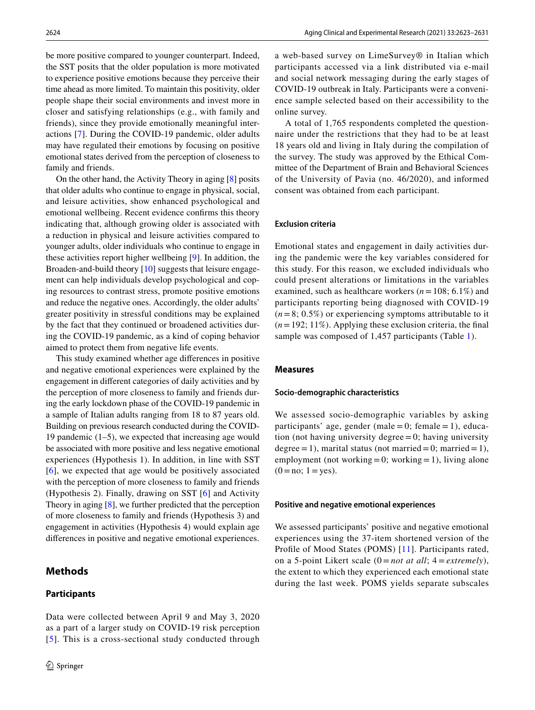be more positive compared to younger counterpart. Indeed, the SST posits that the older population is more motivated to experience positive emotions because they perceive their time ahead as more limited. To maintain this positivity, older people shape their social environments and invest more in closer and satisfying relationships (e.g., with family and friends), since they provide emotionally meaningful interactions [\[7](#page-7-4)]. During the COVID-19 pandemic, older adults may have regulated their emotions by focusing on positive emotional states derived from the perception of closeness to family and friends.

On the other hand, the Activity Theory in aging [\[8](#page-7-5)] posits that older adults who continue to engage in physical, social, and leisure activities, show enhanced psychological and emotional wellbeing. Recent evidence confrms this theory indicating that, although growing older is associated with a reduction in physical and leisure activities compared to younger adults, older individuals who continue to engage in these activities report higher wellbeing [\[9](#page-7-6)]. In addition, the Broaden-and-build theory [\[10](#page-7-7)] suggests that leisure engagement can help individuals develop psychological and coping resources to contrast stress, promote positive emotions and reduce the negative ones. Accordingly, the older adults' greater positivity in stressful conditions may be explained by the fact that they continued or broadened activities during the COVID-19 pandemic, as a kind of coping behavior aimed to protect them from negative life events.

This study examined whether age diferences in positive and negative emotional experiences were explained by the engagement in diferent categories of daily activities and by the perception of more closeness to family and friends during the early lockdown phase of the COVID-19 pandemic in a sample of Italian adults ranging from 18 to 87 years old. Building on previous research conducted during the COVID-19 pandemic (1–5), we expected that increasing age would be associated with more positive and less negative emotional experiences (Hypothesis 1). In addition, in line with SST [[6\]](#page-7-3), we expected that age would be positively associated with the perception of more closeness to family and friends (Hypothesis 2). Finally, drawing on SST [[6](#page-7-3)] and Activity Theory in aging [[8\]](#page-7-5), we further predicted that the perception of more closeness to family and friends (Hypothesis 3) and engagement in activities (Hypothesis 4) would explain age diferences in positive and negative emotional experiences.

# **Methods**

### **Participants**

Data were collected between April 9 and May 3, 2020 as a part of a larger study on COVID-19 risk perception [[5](#page-7-1)]. This is a cross-sectional study conducted through a web-based survey on LimeSurvey® in Italian which participants accessed via a link distributed via e-mail and social network messaging during the early stages of COVID-19 outbreak in Italy. Participants were a convenience sample selected based on their accessibility to the online survey.

A total of 1,765 respondents completed the questionnaire under the restrictions that they had to be at least 18 years old and living in Italy during the compilation of the survey. The study was approved by the Ethical Committee of the Department of Brain and Behavioral Sciences of the University of Pavia (no. 46/2020), and informed consent was obtained from each participant.

## **Exclusion criteria**

Emotional states and engagement in daily activities during the pandemic were the key variables considered for this study. For this reason, we excluded individuals who could present alterations or limitations in the variables examined, such as healthcare workers (*n*=108; 6.1%) and participants reporting being diagnosed with COVID-19  $(n=8; 0.5\%)$  or experiencing symptoms attributable to it (*n*=192; 11%). Applying these exclusion criteria, the fnal sample was composed of 1,457 participants (Table [1\)](#page-2-0).

#### **Measures**

## **Socio‑demographic characteristics**

We assessed socio-demographic variables by asking participants' age, gender (male =  $0$ ; female = 1), education (not having university degree $=0$ ; having university degree = 1), marital status (not married = 0; married = 1), employment (not working = 0; working = 1), living alone  $(0=no; 1=yes).$ 

#### **Positive and negative emotional experiences**

We assessed participants' positive and negative emotional experiences using the 37-item shortened version of the Profle of Mood States (POMS) [\[11\]](#page-7-8). Participants rated, on a 5-point Likert scale (0 = *not at all*; 4 = *extremely*), the extent to which they experienced each emotional state during the last week. POMS yields separate subscales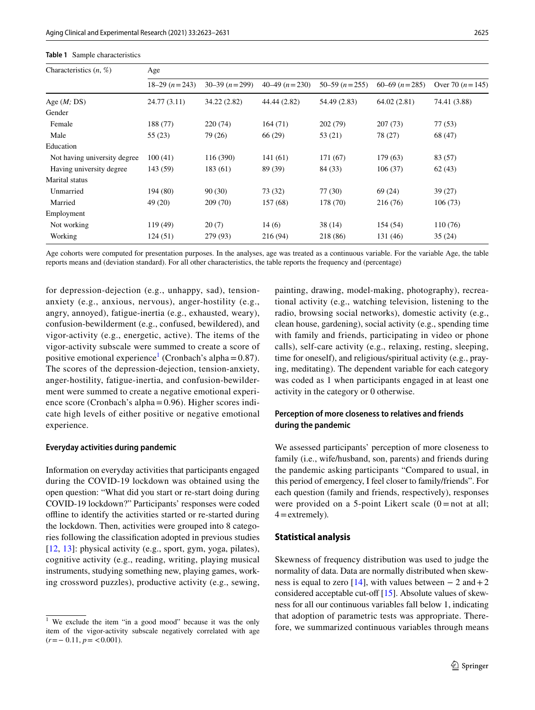| Characteristics $(n, %)$     | Age            |                 |                   |                   |                   |                     |  |  |  |  |
|------------------------------|----------------|-----------------|-------------------|-------------------|-------------------|---------------------|--|--|--|--|
|                              | $18-29(n=243)$ | $30-39 (n=299)$ | $40-49$ $(n=230)$ | $50-59$ $(n=255)$ | $60-69$ $(n=285)$ | Over 70 $(n = 145)$ |  |  |  |  |
| Age $(M; DS)$                | 24.77(3.11)    | 34.22 (2.82)    | 44.44 (2.82)      | 54.49 (2.83)      | 64.02(2.81)       | 74.41 (3.88)        |  |  |  |  |
| Gender                       |                |                 |                   |                   |                   |                     |  |  |  |  |
| Female                       | 188 (77)       | 220(74)         | 164(71)           | 202 (79)          | 207 (73)          | 77(53)              |  |  |  |  |
| Male                         | 55(23)         | 79 (26)         | 66 (29)           | 53 (21)           | 78 (27)           | 68 (47)             |  |  |  |  |
| Education                    |                |                 |                   |                   |                   |                     |  |  |  |  |
| Not having university degree | 100(41)        | 116 (390)       | 141(61)           | 171 (67)          | 179 (63)          | 83 (57)             |  |  |  |  |
| Having university degree     | 143 (59)       | 183 (61)        | 89 (39)           | 84 (33)           | 106(37)           | 62(43)              |  |  |  |  |
| Marital status               |                |                 |                   |                   |                   |                     |  |  |  |  |
| Unmarried                    | 194 (80)       | 90(30)          | 73 (32)           | 77(30)            | 69 (24)           | 39(27)              |  |  |  |  |
| Married                      | 49(20)         | 209 (70)        | 157 (68)          | 178 (70)          | 216 (76)          | 106(73)             |  |  |  |  |
| Employment                   |                |                 |                   |                   |                   |                     |  |  |  |  |
| Not working                  | 119(49)        | 20(7)           | 14(6)             | 38(14)            | 154 (54)          | 110 (76)            |  |  |  |  |
| Working                      | 124(51)        | 279 (93)        | 216 (94)          | 218 (86)          | 131 (46)          | 35(24)              |  |  |  |  |

<span id="page-2-0"></span>**Table 1** Sample characteristics

Age cohorts were computed for presentation purposes. In the analyses, age was treated as a continuous variable. For the variable Age, the table reports means and (deviation standard). For all other characteristics, the table reports the frequency and (percentage)

for depression-dejection (e.g., unhappy, sad), tensionanxiety (e.g., anxious, nervous), anger-hostility (e.g., angry, annoyed), fatigue-inertia (e.g., exhausted, weary), confusion-bewilderment (e.g., confused, bewildered), and vigor-activity (e.g., energetic, active). The items of the vigor-activity subscale were summed to create a score of positive emotional experience<sup>[1](#page-2-1)</sup> (Cronbach's alpha=0.87). The scores of the depression-dejection, tension-anxiety, anger-hostility, fatigue-inertia, and confusion-bewilderment were summed to create a negative emotional experience score (Cronbach's alpha=0.96). Higher scores indicate high levels of either positive or negative emotional experience.

## **Everyday activities during pandemic**

Information on everyday activities that participants engaged during the COVID-19 lockdown was obtained using the open question: "What did you start or re-start doing during COVID-19 lockdown?" Participants' responses were coded offline to identify the activities started or re-started during the lockdown. Then, activities were grouped into 8 categories following the classifcation adopted in previous studies [\[12,](#page-8-0) [13](#page-8-1)]: physical activity (e.g., sport, gym, yoga, pilates), cognitive activity (e.g., reading, writing, playing musical instruments, studying something new, playing games, working crossword puzzles), productive activity (e.g., sewing,

painting, drawing, model-making, photography), recreational activity (e.g., watching television, listening to the radio, browsing social networks), domestic activity (e.g., clean house, gardening), social activity (e.g., spending time with family and friends, participating in video or phone calls), self-care activity (e.g., relaxing, resting, sleeping, time for oneself), and religious/spiritual activity (e.g., praying, meditating). The dependent variable for each category was coded as 1 when participants engaged in at least one activity in the category or 0 otherwise.

# **Perception of more closeness to relatives and friends during the pandemic**

We assessed participants' perception of more closeness to family (i.e., wife/husband, son, parents) and friends during the pandemic asking participants "Compared to usual, in this period of emergency, I feel closer to family/friends". For each question (family and friends, respectively), responses were provided on a 5-point Likert scale  $(0 = not at all;$ 4=extremely)*.*

# **Statistical analysis**

Skewness of frequency distribution was used to judge the normality of data. Data are normally distributed when skew-ness is equal to zero [\[14](#page-8-2)], with values between  $-2$  and  $+2$ considered acceptable cut-off  $[15]$  $[15]$ . Absolute values of skewness for all our continuous variables fall below 1, indicating that adoption of parametric tests was appropriate. Therefore, we summarized continuous variables through means

<span id="page-2-1"></span>We exclude the item "in a good mood" because it was the only item of the vigor-activity subscale negatively correlated with age  $(r=-0.11, p=<0.001).$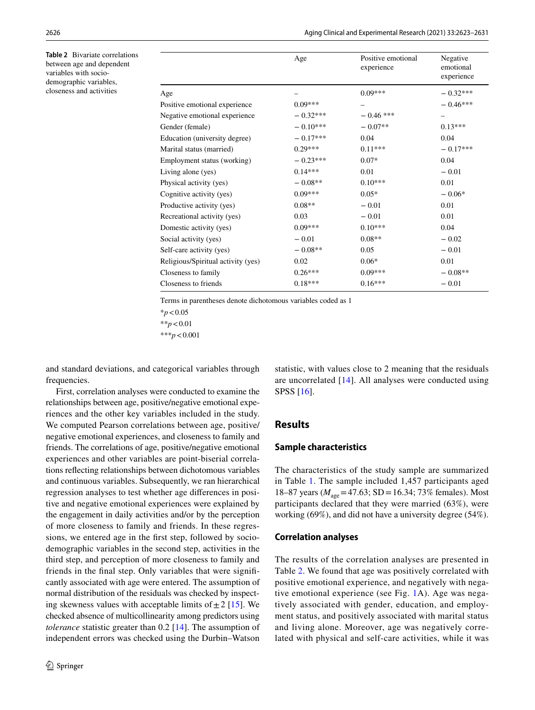<span id="page-3-0"></span>**Table 2** Bivariate correlations between age and dependent variables with sociodemographic variables, closeness and activities

|                                    | Age        | Positive emotional<br>experience | Negative<br>emotional<br>experience |
|------------------------------------|------------|----------------------------------|-------------------------------------|
| Age                                |            | $0.09***$                        | $-0.32***$                          |
| Positive emotional experience      | $0.09***$  |                                  | $-0.46***$                          |
| Negative emotional experience      | $-0.32***$ | $-0.46$ ***                      |                                     |
| Gender (female)                    | $-0.10***$ | $-0.07**$                        | $0.13***$                           |
| Education (university degree)      | $-0.17***$ | 0.04                             | 0.04                                |
| Marital status (married)           | $0.29***$  | $0.11***$                        | $-0.17***$                          |
| Employment status (working)        | $-0.23***$ | $0.07*$                          | 0.04                                |
| Living alone (yes)                 | $0.14***$  | 0.01                             | $-0.01$                             |
| Physical activity (yes)            | $-0.08**$  | $0.10***$                        | 0.01                                |
| Cognitive activity (yes)           | $0.09***$  | $0.05*$                          | $-0.06*$                            |
| Productive activity (yes)          | $0.08**$   | $-0.01$                          | 0.01                                |
| Recreational activity (yes)        | 0.03       | $-0.01$                          | 0.01                                |
| Domestic activity (yes)            | $0.09***$  | $0.10***$                        | 0.04                                |
| Social activity (yes)              | $-0.01$    | $0.08**$                         | $-0.02$                             |
| Self-care activity (yes)           | $-0.08**$  | 0.05                             | $-0.01$                             |
| Religious/Spiritual activity (yes) | 0.02       | $0.06*$                          | 0.01                                |
| Closeness to family                | $0.26***$  | $0.09***$                        | $-0.08**$                           |
| Closeness to friends               | $0.18***$  | $0.16***$                        | $-0.01$                             |

Terms in parentheses denote dichotomous variables coded as 1

\**p*<0.05

\*\**p*<0.01

\*\*\**p*<0.001

and standard deviations, and categorical variables through frequencies.

First, correlation analyses were conducted to examine the relationships between age, positive/negative emotional experiences and the other key variables included in the study. We computed Pearson correlations between age, positive/ negative emotional experiences, and closeness to family and friends. The correlations of age, positive/negative emotional experiences and other variables are point-biserial correlations refecting relationships between dichotomous variables and continuous variables. Subsequently, we ran hierarchical regression analyses to test whether age diferences in positive and negative emotional experiences were explained by the engagement in daily activities and/or by the perception of more closeness to family and friends. In these regressions, we entered age in the frst step, followed by sociodemographic variables in the second step, activities in the third step, and perception of more closeness to family and friends in the fnal step. Only variables that were signifcantly associated with age were entered. The assumption of normal distribution of the residuals was checked by inspecting skewness values with acceptable limits of  $\pm 2$  [[15](#page-8-3)]. We checked absence of multicollinearity among predictors using *tolerance* statistic greater than 0.2 [[14](#page-8-2)]. The assumption of independent errors was checked using the Durbin–Watson statistic, with values close to 2 meaning that the residuals are uncorrelated [\[14\]](#page-8-2). All analyses were conducted using SPSS [\[16](#page-8-4)].

# **Results**

## **Sample characteristics**

The characteristics of the study sample are summarized in Table [1](#page-2-0). The sample included 1,457 participants aged 18–87 years ( $M_{\text{age}}$ =47.63; SD = 16.34; 73% females). Most participants declared that they were married (63%), were working (69%), and did not have a university degree (54%).

#### **Correlation analyses**

The results of the correlation analyses are presented in Table [2](#page-3-0). We found that age was positively correlated with positive emotional experience, and negatively with negative emotional experience (see Fig. [1A](#page-4-0)). Age was negatively associated with gender, education, and employment status, and positively associated with marital status and living alone. Moreover, age was negatively correlated with physical and self-care activities, while it was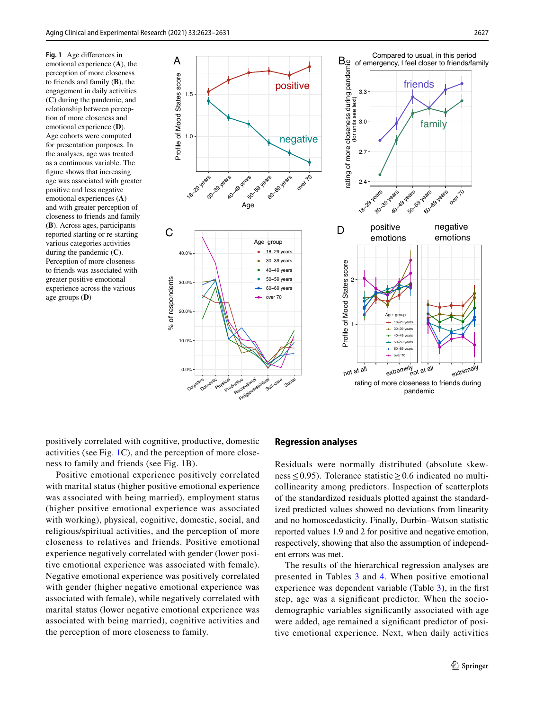<span id="page-4-0"></span>**Fig. 1** Age diferences in emotional experience (**A**), the perception of more closeness to friends and family (**B**), the engagement in daily activities (**C**) during the pandemic, and relationship between perception of more closeness and emotional experience (**D**)*.* Age cohorts were computed for presentation purposes. In the analyses, age was treated as a continuous variable. The fgure shows that increasing age was associated with greater positive and less negative emotional experiences (**A**) and with greater perception of closeness to friends and family (**B**). Across ages, participants reported starting or re-starting various categories activities during the pandemic (**C**). Perception of more closeness to friends was associated with greater positive emotional experience across the various age groups (**D**)



positively correlated with cognitive, productive, domestic activities (see Fig. [1C](#page-4-0)), and the perception of more closeness to family and friends (see Fig. [1](#page-4-0)B).

Positive emotional experience positively correlated with marital status (higher positive emotional experience was associated with being married), employment status (higher positive emotional experience was associated with working), physical, cognitive, domestic, social, and religious/spiritual activities, and the perception of more closeness to relatives and friends. Positive emotional experience negatively correlated with gender (lower positive emotional experience was associated with female). Negative emotional experience was positively correlated with gender (higher negative emotional experience was associated with female), while negatively correlated with marital status (lower negative emotional experience was associated with being married), cognitive activities and the perception of more closeness to family.

#### **Regression analyses**

Residuals were normally distributed (absolute skewness≤0.95). Tolerance statistic≥0.6 indicated no multicollinearity among predictors. Inspection of scatterplots of the standardized residuals plotted against the standardized predicted values showed no deviations from linearity and no homoscedasticity. Finally, Durbin–Watson statistic reported values 1.9 and 2 for positive and negative emotion, respectively, showing that also the assumption of independent errors was met.

The results of the hierarchical regression analyses are presented in Tables [3](#page-5-0) and [4](#page-5-1). When positive emotional experience was dependent variable (Table [3\)](#page-5-0), in the frst step, age was a signifcant predictor. When the sociodemographic variables signifcantly associated with age were added, age remained a signifcant predictor of positive emotional experience. Next, when daily activities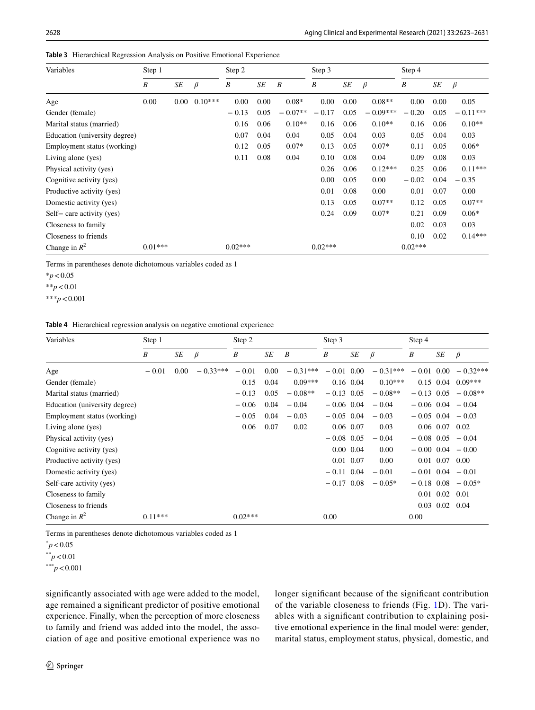| Variables                     | Step 1    |      |           | Step 2    |      |                  | Step 3    |      |            | Step 4    |      |            |
|-------------------------------|-----------|------|-----------|-----------|------|------------------|-----------|------|------------|-----------|------|------------|
|                               | B         | SE   | $\beta$   | B         | SE   | $\boldsymbol{B}$ | B         | SE   | $\beta$    | B         | SE   | $\beta$    |
| Age                           | 0.00      | 0.00 | $0.10***$ | 0.00      | 0.00 | $0.08*$          | 0.00      | 0.00 | $0.08**$   | 0.00      | 0.00 | 0.05       |
| Gender (female)               |           |      |           | $-0.13$   | 0.05 | $-0.07**$        | $-0.17$   | 0.05 | $-0.09***$ | $-0.20$   | 0.05 | $-0.11***$ |
| Marital status (married)      |           |      |           | 0.16      | 0.06 | $0.10**$         | 0.16      | 0.06 | $0.10**$   | 0.16      | 0.06 | $0.10**$   |
| Education (university degree) |           |      |           | 0.07      | 0.04 | 0.04             | 0.05      | 0.04 | 0.03       | 0.05      | 0.04 | 0.03       |
| Employment status (working)   |           |      |           | 0.12      | 0.05 | $0.07*$          | 0.13      | 0.05 | $0.07*$    | 0.11      | 0.05 | $0.06*$    |
| Living alone (yes)            |           |      |           | 0.11      | 0.08 | 0.04             | 0.10      | 0.08 | 0.04       | 0.09      | 0.08 | 0.03       |
| Physical activity (yes)       |           |      |           |           |      |                  | 0.26      | 0.06 | $0.12***$  | 0.25      | 0.06 | $0.11***$  |
| Cognitive activity (yes)      |           |      |           |           |      |                  | 0.00      | 0.05 | 0.00       | $-0.02$   | 0.04 | $-0.35$    |
| Productive activity (yes)     |           |      |           |           |      |                  | 0.01      | 0.08 | 0.00       | 0.01      | 0.07 | 0.00       |
| Domestic activity (yes)       |           |      |           |           |      |                  | 0.13      | 0.05 | $0.07**$   | 0.12      | 0.05 | $0.07**$   |
| Self-care activity (yes)      |           |      |           |           |      |                  | 0.24      | 0.09 | $0.07*$    | 0.21      | 0.09 | $0.06*$    |
| Closeness to family           |           |      |           |           |      |                  |           |      |            | 0.02      | 0.03 | 0.03       |
| Closeness to friends          |           |      |           |           |      |                  |           |      |            | 0.10      | 0.02 | $0.14***$  |
| Change in $R^2$               | $0.01***$ |      |           | $0.02***$ |      |                  | $0.02***$ |      |            | $0.02***$ |      |            |

<span id="page-5-0"></span>**Table 3** Hierarchical Regression Analysis on Positive Emotional Experience

Terms in parentheses denote dichotomous variables coded as 1

\**p*<0.05

\*\**p*<0.01

\*\*\**p*<0.001

<span id="page-5-1"></span>

|  | <b>Table 4</b> Hierarchical regression analysis on negative emotional experience |  |  |  |  |  |
|--|----------------------------------------------------------------------------------|--|--|--|--|--|
|--|----------------------------------------------------------------------------------|--|--|--|--|--|

| Variables                     | Step 1    |      | Step 2     |           |      | Step 3           |              |              | Step 4     |              |                      |                       |
|-------------------------------|-----------|------|------------|-----------|------|------------------|--------------|--------------|------------|--------------|----------------------|-----------------------|
|                               | B         | SE   | $\beta$    | B         | SE   | $\boldsymbol{B}$ | B            | SE           | $\beta$    | B            | SE                   | $\beta$               |
| Age                           | $-0.01$   | 0.00 | $-0.33***$ | $-0.01$   | 0.00 | $-0.31***$       | $-0.01$ 0.00 |              | $-0.31***$ | $-0.01$ 0.00 |                      | $-0.32***$            |
| Gender (female)               |           |      |            | 0.15      | 0.04 | $0.09***$        |              | $0.16$ 0.04  | $0.10***$  |              | $0.15$ 0.04          | $0.09***$             |
| Marital status (married)      |           |      |            | $-0.13$   | 0.05 | $-0.08**$        | $-0.13$ 0.05 |              | $-0.08**$  | $-0.13$ 0.05 |                      | $-0.08**$             |
| Education (university degree) |           |      |            | $-0.06$   | 0.04 | $-0.04$          | $-0.06$ 0.04 |              | $-0.04$    |              |                      | $-0.06$ 0.04 $-0.04$  |
| Employment status (working)   |           |      |            | $-0.05$   | 0.04 | $-0.03$          | $-0.05$ 0.04 |              | $-0.03$    |              |                      | $-0.05$ 0.04 $-0.03$  |
| Living alone (yes)            |           |      |            | 0.06      | 0.07 | 0.02             |              | 0.06 0.07    | 0.03       |              | $0.06$ 0.07 0.02     |                       |
| Physical activity (yes)       |           |      |            |           |      |                  | $-0.08$ 0.05 |              | $-0.04$    |              |                      | $-0.08$ 0.05 $-0.04$  |
| Cognitive activity (yes)      |           |      |            |           |      |                  |              | $0.00\ 0.04$ | 0.00       |              |                      | $-0.00$ 0.04 $-0.00$  |
| Productive activity (yes)     |           |      |            |           |      |                  |              | 0.01 0.07    | 0.00       |              | $0.01$ $0.07$ $0.00$ |                       |
| Domestic activity (yes)       |           |      |            |           |      |                  | $-0.11$ 0.04 |              | $-0.01$    |              |                      | $-0.01$ 0.04 $-0.01$  |
| Self-care activity (yes)      |           |      |            |           |      |                  | $-0.17$ 0.08 |              | $-0.05*$   |              |                      | $-0.18$ 0.08 $-0.05*$ |
| Closeness to family           |           |      |            |           |      |                  |              |              |            |              | $0.01$ 0.02          | 0.01                  |
| Closeness to friends          |           |      |            |           |      |                  |              |              |            |              | $0.03$ $0.02$ $0.04$ |                       |
| Change in $R^2$               | $0.11***$ |      |            | $0.02***$ |      |                  | 0.00         |              |            | 0.00         |                      |                       |

Terms in parentheses denote dichotomous variables coded as 1

 $p$  < 0.05

\*\**p*<0.01

\*\*\**p*<0.001

signifcantly associated with age were added to the model, age remained a signifcant predictor of positive emotional experience. Finally, when the perception of more closeness to family and friend was added into the model, the association of age and positive emotional experience was no longer signifcant because of the signifcant contribution of the variable closeness to friends (Fig. [1D](#page-4-0)). The variables with a signifcant contribution to explaining positive emotional experience in the fnal model were: gender, marital status, employment status, physical, domestic, and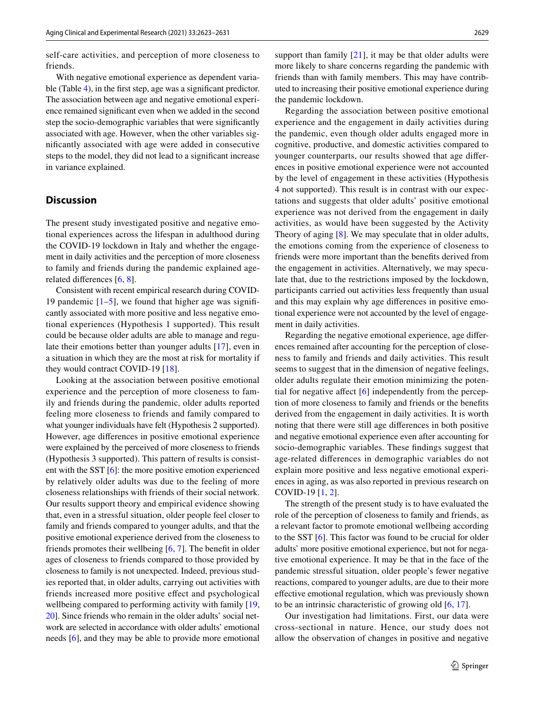self-care activities, and perception of more closeness to friends.

With negative emotional experience as dependent varia-ble (Table [4\)](#page-5-1), in the first step, age was a significant predictor. The association between age and negative emotional experience remained signifcant even when we added in the second step the socio-demographic variables that were signifcantly associated with age. However, when the other variables signifcantly associated with age were added in consecutive steps to the model, they did not lead to a signifcant increase in variance explained.

# **Discussion**

The present study investigated positive and negative emotional experiences across the lifespan in adulthood during the COVID-19 lockdown in Italy and whether the engagement in daily activities and the perception of more closeness to family and friends during the pandemic explained agerelated diferences [\[6](#page-7-3), [8](#page-7-5)].

Consistent with recent empirical research during COVID-19 pandemic  $[1–5]$  $[1–5]$  $[1–5]$  $[1–5]$ , we found that higher age was significantly associated with more positive and less negative emotional experiences (Hypothesis 1 supported). This result could be because older adults are able to manage and regulate their emotions better than younger adults [\[17](#page-8-5)], even in a situation in which they are the most at risk for mortality if they would contract COVID-19 [[18](#page-8-6)].

Looking at the association between positive emotional experience and the perception of more closeness to family and friends during the pandemic, older adults reported feeling more closeness to friends and family compared to what younger individuals have felt (Hypothesis 2 supported). However, age diferences in positive emotional experience were explained by the perceived of more closeness to friends (Hypothesis 3 supported). This pattern of results is consistent with the SST [\[6](#page-7-3)]: the more positive emotion experienced by relatively older adults was due to the feeling of more closeness relationships with friends of their social network. Our results support theory and empirical evidence showing that, even in a stressful situation, older people feel closer to family and friends compared to younger adults, and that the positive emotional experience derived from the closeness to friends promotes their wellbeing [\[6](#page-7-3), [7](#page-7-4)]. The beneft in older ages of closeness to friends compared to those provided by closeness to family is not unexpected. Indeed, previous studies reported that, in older adults, carrying out activities with friends increased more positive efect and psychological wellbeing compared to performing activity with family  $[19, 19]$  $[19, 19]$  $[19, 19]$ [20\]](#page-8-8). Since friends who remain in the older adults' social network are selected in accordance with older adults' emotional needs [[6](#page-7-3)], and they may be able to provide more emotional

support than family  $[21]$  $[21]$ , it may be that older adults were more likely to share concerns regarding the pandemic with friends than with family members. This may have contributed to increasing their positive emotional experience during the pandemic lockdown.

Regarding the association between positive emotional experience and the engagement in daily activities during the pandemic, even though older adults engaged more in cognitive, productive, and domestic activities compared to younger counterparts, our results showed that age diferences in positive emotional experience were not accounted by the level of engagement in these activities (Hypothesis 4 not supported). This result is in contrast with our expectations and suggests that older adults' positive emotional experience was not derived from the engagement in daily activities, as would have been suggested by the Activity Theory of aging [\[8](#page-7-5)]. We may speculate that in older adults, the emotions coming from the experience of closeness to friends were more important than the benefts derived from the engagement in activities. Alternatively, we may speculate that, due to the restrictions imposed by the lockdown, participants carried out activities less frequently than usual and this may explain why age diferences in positive emotional experience were not accounted by the level of engagement in daily activities.

Regarding the negative emotional experience, age diferences remained after accounting for the perception of closeness to family and friends and daily activities. This result seems to suggest that in the dimension of negative feelings, older adults regulate their emotion minimizing the potential for negative afect [\[6](#page-7-3)] independently from the perception of more closeness to family and friends or the benefts derived from the engagement in daily activities. It is worth noting that there were still age diferences in both positive and negative emotional experience even after accounting for socio-demographic variables. These fndings suggest that age-related diferences in demographic variables do not explain more positive and less negative emotional experiences in aging, as was also reported in previous research on COVID-19 [[1](#page-7-0), [2](#page-7-2)].

The strength of the present study is to have evaluated the role of the perception of closeness to family and friends, as a relevant factor to promote emotional wellbeing according to the SST [\[6](#page-7-3)]. This factor was found to be crucial for older adults' more positive emotional experience, but not for negative emotional experience. It may be that in the face of the pandemic stressful situation, older people's fewer negative reactions, compared to younger adults, are due to their more efective emotional regulation, which was previously shown to be an intrinsic characteristic of growing old [\[6](#page-7-3), [17](#page-8-5)].

Our investigation had limitations. First, our data were cross-sectional in nature. Hence, our study does not allow the observation of changes in positive and negative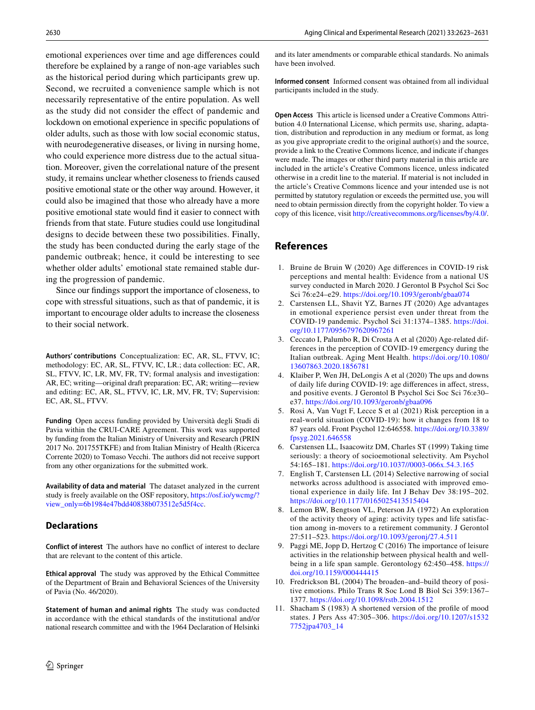emotional experiences over time and age diferences could therefore be explained by a range of non-age variables such as the historical period during which participants grew up. Second, we recruited a convenience sample which is not necessarily representative of the entire population. As well as the study did not consider the efect of pandemic and lockdown on emotional experience in specifc populations of older adults, such as those with low social economic status, with neurodegenerative diseases, or living in nursing home, who could experience more distress due to the actual situation. Moreover, given the correlational nature of the present study, it remains unclear whether closeness to friends caused positive emotional state or the other way around. However, it could also be imagined that those who already have a more positive emotional state would fnd it easier to connect with friends from that state. Future studies could use longitudinal designs to decide between these two possibilities. Finally, the study has been conducted during the early stage of the pandemic outbreak; hence, it could be interesting to see whether older adults' emotional state remained stable during the progression of pandemic.

Since our fndings support the importance of closeness, to cope with stressful situations, such as that of pandemic, it is important to encourage older adults to increase the closeness to their social network.

**Authors' contributions** Conceptualization: EC, AR, SL, FTVV, IC; methodology: EC, AR, SL, FTVV, IC, LR.; data collection: EC, AR, SL, FTVV, IC, LR, MV, FR, TV; formal analysis and investigation: AR, EC; writing—original draft preparation: EC, AR; writing—review and editing: EC, AR, SL, FTVV, IC, LR, MV, FR, TV; Supervision: EC, AR, SL, FTVV.

**Funding** Open access funding provided by Università degli Studi di Pavia within the CRUI-CARE Agreement. This work was supported by funding from the Italian Ministry of University and Research (PRIN 2017 No. 201755TKFE) and from Italian Ministry of Health (Ricerca Corrente 2020) to Tomaso Vecchi. The authors did not receive support from any other organizations for the submitted work.

**Availability of data and material** The dataset analyzed in the current study is freely available on the OSF repository, [https://osf.io/ywcmg/?](https://osf.io/ywcmg/?view_only=6b1984e47bdd40838b073512e5d5f4cc) [view\\_only=6b1984e47bdd40838b073512e5d5f4cc.](https://osf.io/ywcmg/?view_only=6b1984e47bdd40838b073512e5d5f4cc)

## **Declarations**

**Conflict of interest** The authors have no confict of interest to declare that are relevant to the content of this article.

**Ethical approval** The study was approved by the Ethical Committee of the Department of Brain and Behavioral Sciences of the University of Pavia (No. 46/2020).

**Statement of human and animal rights** The study was conducted in accordance with the ethical standards of the institutional and/or national research committee and with the 1964 Declaration of Helsinki and its later amendments or comparable ethical standards. No animals have been involved.

**Informed consent** Informed consent was obtained from all individual participants included in the study.

**Open Access** This article is licensed under a Creative Commons Attribution 4.0 International License, which permits use, sharing, adaptation, distribution and reproduction in any medium or format, as long as you give appropriate credit to the original author(s) and the source, provide a link to the Creative Commons licence, and indicate if changes were made. The images or other third party material in this article are included in the article's Creative Commons licence, unless indicated otherwise in a credit line to the material. If material is not included in the article's Creative Commons licence and your intended use is not permitted by statutory regulation or exceeds the permitted use, you will need to obtain permission directly from the copyright holder. To view a copy of this licence, visit<http://creativecommons.org/licenses/by/4.0/>.

# **References**

- <span id="page-7-0"></span>1. Bruine de Bruin W (2020) Age diferences in COVID-19 risk perceptions and mental health: Evidence from a national US survey conducted in March 2020. J Gerontol B Psychol Sci Soc Sci 76:e24–e29.<https://doi.org/10.1093/geronb/gbaa074>
- <span id="page-7-2"></span>2. Carstensen LL, Shavit YZ, Barnes JT (2020) Age advantages in emotional experience persist even under threat from the COVID-19 pandemic. Psychol Sci 31:1374–1385. [https://doi.](https://doi.org/10.1177/0956797620967261) [org/10.1177/0956797620967261](https://doi.org/10.1177/0956797620967261)
- 3. Ceccato I, Palumbo R, Di Crosta A et al (2020) Age-related differences in the perception of COVID-19 emergency during the Italian outbreak. Aging Ment Health. [https://doi.org/10.1080/](https://doi.org/10.1080/13607863.2020.1856781) [13607863.2020.1856781](https://doi.org/10.1080/13607863.2020.1856781)
- 4. Klaiber P, Wen JH, DeLongis A et al (2020) The ups and downs of daily life during COVID-19: age diferences in afect, stress, and positive events. J Gerontol B Psychol Sci Soc Sci 76:e30– e37.<https://doi.org/10.1093/geronb/gbaa096>
- <span id="page-7-1"></span>5. Rosi A, Van Vugt F, Lecce S et al (2021) Risk perception in a real-world situation (COVID-19): how it changes from 18 to 87 years old. Front Psychol 12:646558. [https://doi.org/10.3389/](https://doi.org/10.3389/fpsyg.2021.646558) [fpsyg.2021.646558](https://doi.org/10.3389/fpsyg.2021.646558)
- <span id="page-7-3"></span>6. Carstensen LL, Isaacowitz DM, Charles ST (1999) Taking time seriously: a theory of socioemotional selectivity. Am Psychol 54:165–181. <https://doi.org/10.1037//0003-066x.54.3.165>
- <span id="page-7-4"></span>7. English T, Carstensen LL (2014) Selective narrowing of social networks across adulthood is associated with improved emotional experience in daily life. Int J Behav Dev 38:195–202. <https://doi.org/10.1177/0165025413515404>
- <span id="page-7-5"></span>8. Lemon BW, Bengtson VL, Peterson JA (1972) An exploration of the activity theory of aging: activity types and life satisfaction among in-movers to a retirement community. J Gerontol 27:511–523. <https://doi.org/10.1093/geronj/27.4.511>
- <span id="page-7-6"></span>9. Paggi ME, Jopp D, Hertzog C (2016) The importance of leisure activities in the relationship between physical health and wellbeing in a life span sample. Gerontology 62:450–458. [https://](https://doi.org/10.1159/000444415) [doi.org/10.1159/000444415](https://doi.org/10.1159/000444415)
- <span id="page-7-7"></span>10. Fredrickson BL (2004) The broaden–and–build theory of positive emotions. Philo Trans R Soc Lond B Biol Sci 359:1367– 1377.<https://doi.org/10.1098/rstb.2004.1512>
- <span id="page-7-8"></span>11. Shacham S (1983) A shortened version of the profle of mood states. J Pers Ass 47:305–306. [https://doi.org/10.1207/s1532](https://doi.org/10.1207/s15327752jpa4703_14) [7752jpa4703\\_14](https://doi.org/10.1207/s15327752jpa4703_14)